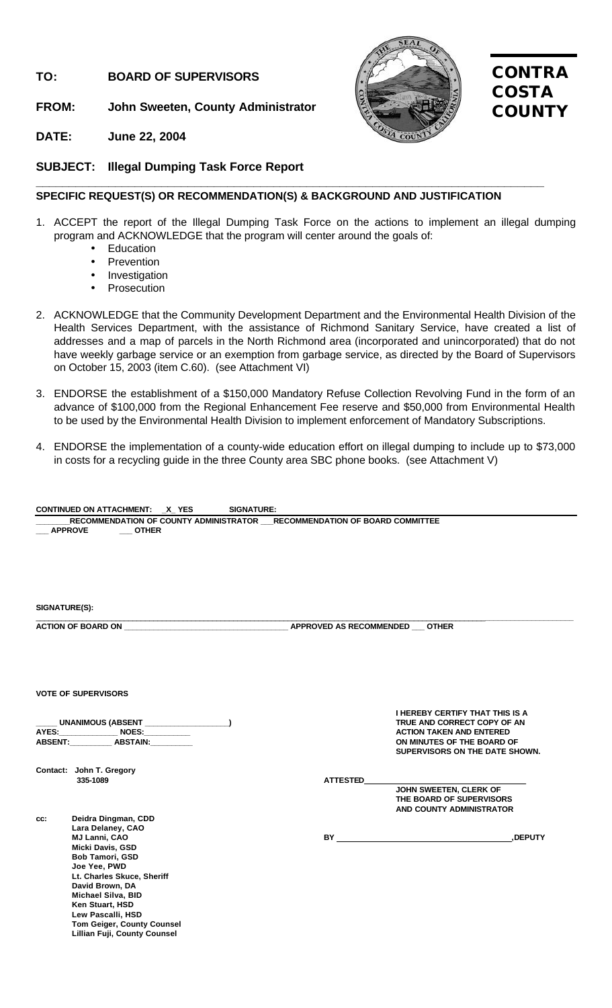# **TO: BOARD OF SUPERVISORS**

**FROM: John Sweeten, County Administrator**



# **CONTRA COSTA COUNTY**

# **DATE: June 22, 2004**

**SUBJECT: Illegal Dumping Task Force Report**

# **SPECIFIC REQUEST(S) OR RECOMMENDATION(S) & BACKGROUND AND JUSTIFICATION**

**\_\_\_\_\_\_\_\_\_\_\_\_\_\_\_\_\_\_\_\_\_\_\_\_\_\_\_\_\_\_\_\_\_\_\_\_\_\_\_\_\_\_\_\_\_\_\_\_\_\_\_\_\_\_\_\_\_\_\_\_\_\_\_\_\_\_\_\_\_\_\_\_\_\_\_\_\_**

- 1. ACCEPT the report of the Illegal Dumping Task Force on the actions to implement an illegal dumping program and ACKNOWLEDGE that the program will center around the goals of:
	- Education
	- Prevention
	- Investigation
	- **Prosecution**
- 2. ACKNOWLEDGE that the Community Development Department and the Environmental Health Division of the Health Services Department, with the assistance of Richmond Sanitary Service, have created a list of addresses and a map of parcels in the North Richmond area (incorporated and unincorporated) that do not have weekly garbage service or an exemption from garbage service, as directed by the Board of Supervisors on October 15, 2003 (item C.60). (see Attachment VI)
- 3. ENDORSE the establishment of a \$150,000 Mandatory Refuse Collection Revolving Fund in the form of an advance of \$100,000 from the Regional Enhancement Fee reserve and \$50,000 from Environmental Health to be used by the Environmental Health Division to implement enforcement of Mandatory Subscriptions.
- 4. ENDORSE the implementation of a county-wide education effort on illegal dumping to include up to \$73,000 in costs for a recycling guide in the three County area SBC phone books. (see Attachment V)

|                                                                                                                                                                                                 | CONTINUED ON ATTACHMENT: X_YES<br><b>SIGNATURE:</b>                                                             |                 |                                                                                                                                                                          |
|-------------------------------------------------------------------------------------------------------------------------------------------------------------------------------------------------|-----------------------------------------------------------------------------------------------------------------|-----------------|--------------------------------------------------------------------------------------------------------------------------------------------------------------------------|
| <b>APPROVE</b>                                                                                                                                                                                  | RECOMMENDATION OF COUNTY ADMINISTRATOR __ RECOMMENDATION OF BOARD COMMITTEE<br><b>OTHER</b>                     |                 |                                                                                                                                                                          |
| SIGNATURE(S):                                                                                                                                                                                   | <u> 1980 - Jan Barbara, martxa al II-lea (h. 1980).</u>                                                         |                 |                                                                                                                                                                          |
|                                                                                                                                                                                                 |                                                                                                                 |                 |                                                                                                                                                                          |
| <b>VOTE OF SUPERVISORS</b>                                                                                                                                                                      |                                                                                                                 |                 |                                                                                                                                                                          |
|                                                                                                                                                                                                 | __ UNANIMOUS (ABSENT _________________)<br>ABSENT: ABSTAIN:                                                     |                 | <b>I HEREBY CERTIFY THAT THIS IS A</b><br>TRUE AND CORRECT COPY OF AN<br><b>ACTION TAKEN AND ENTERED</b><br>ON MINUTES OF THE BOARD OF<br>SUPERVISORS ON THE DATE SHOWN. |
| Contact: John T. Gregory<br>335-1089                                                                                                                                                            |                                                                                                                 | <b>ATTESTED</b> | JOHN SWEETEN, CLERK OF<br>THE BOARD OF SUPERVISORS<br><b>AND COUNTY ADMINISTRATOR</b>                                                                                    |
| CC:<br>Lara Delaney, CAO<br><b>MJ Lanni, CAO</b><br>Micki Davis, GSD<br><b>Bob Tamori, GSD</b><br>Joe Yee, PWD<br>David Brown, DA<br>Michael Silva, BID<br>Ken Stuart, HSD<br>Lew Pascalli, HSD | Deidra Dingman, CDD<br>Lt. Charles Skuce, Sheriff<br>Tom Geiger, County Counsel<br>Lillian Fuji, County Counsel |                 | .DEPUTY                                                                                                                                                                  |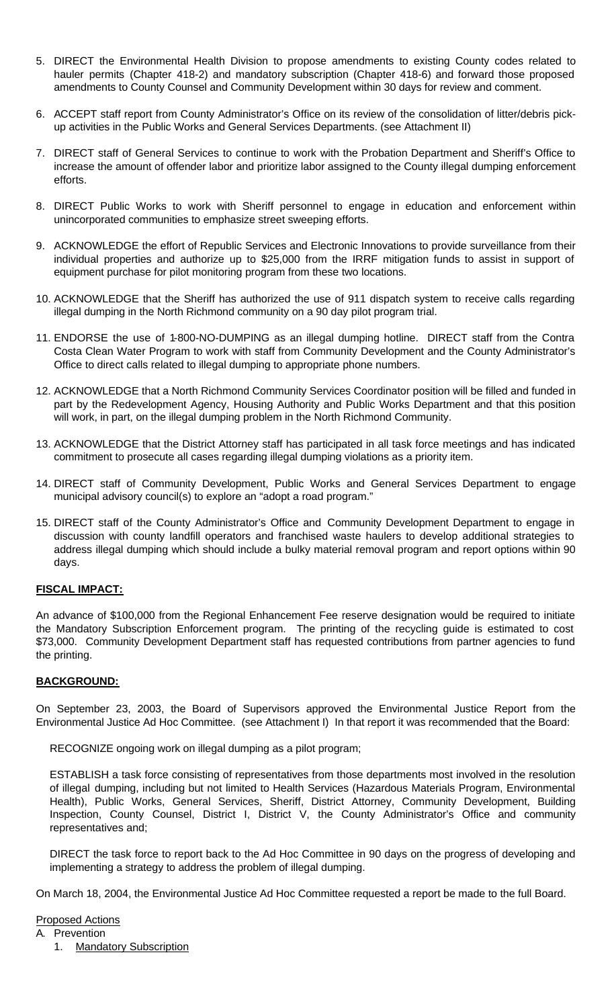- 5. DIRECT the Environmental Health Division to propose amendments to existing County codes related to hauler permits (Chapter 418-2) and mandatory subscription (Chapter 418-6) and forward those proposed amendments to County Counsel and Community Development within 30 days for review and comment.
- 6. ACCEPT staff report from County Administrator's Office on its review of the consolidation of litter/debris pickup activities in the Public Works and General Services Departments. (see Attachment II)
- 7. DIRECT staff of General Services to continue to work with the Probation Department and Sheriff's Office to increase the amount of offender labor and prioritize labor assigned to the County illegal dumping enforcement efforts.
- 8. DIRECT Public Works to work with Sheriff personnel to engage in education and enforcement within unincorporated communities to emphasize street sweeping efforts.
- 9. ACKNOWLEDGE the effort of Republic Services and Electronic Innovations to provide surveillance from their individual properties and authorize up to \$25,000 from the IRRF mitigation funds to assist in support of equipment purchase for pilot monitoring program from these two locations.
- 10. ACKNOWLEDGE that the Sheriff has authorized the use of 911 dispatch system to receive calls regarding illegal dumping in the North Richmond community on a 90 day pilot program trial.
- 11. ENDORSE the use of 1-800-NO-DUMPING as an illegal dumping hotline. DIRECT staff from the Contra Costa Clean Water Program to work with staff from Community Development and the County Administrator's Office to direct calls related to illegal dumping to appropriate phone numbers.
- 12. ACKNOWLEDGE that a North Richmond Community Services Coordinator position will be filled and funded in part by the Redevelopment Agency, Housing Authority and Public Works Department and that this position will work, in part, on the illegal dumping problem in the North Richmond Community.
- 13. ACKNOWLEDGE that the District Attorney staff has participated in all task force meetings and has indicated commitment to prosecute all cases regarding illegal dumping violations as a priority item.
- 14. DIRECT staff of Community Development, Public Works and General Services Department to engage municipal advisory council(s) to explore an "adopt a road program."
- 15. DIRECT staff of the County Administrator's Office and Community Development Department to engage in discussion with county landfill operators and franchised waste haulers to develop additional strategies to address illegal dumping which should include a bulky material removal program and report options within 90 days.

# **FISCAL IMPACT:**

An advance of \$100,000 from the Regional Enhancement Fee reserve designation would be required to initiate the Mandatory Subscription Enforcement program. The printing of the recycling guide is estimated to cost \$73,000. Community Development Department staff has requested contributions from partner agencies to fund the printing.

#### **BACKGROUND:**

On September 23, 2003, the Board of Supervisors approved the Environmental Justice Report from the Environmental Justice Ad Hoc Committee. (see Attachment I) In that report it was recommended that the Board:

RECOGNIZE ongoing work on illegal dumping as a pilot program;

ESTABLISH a task force consisting of representatives from those departments most involved in the resolution of illegal dumping, including but not limited to Health Services (Hazardous Materials Program, Environmental Health), Public Works, General Services, Sheriff, District Attorney, Community Development, Building Inspection, County Counsel, District I, District V, the County Administrator's Office and community representatives and;

DIRECT the task force to report back to the Ad Hoc Committee in 90 days on the progress of developing and implementing a strategy to address the problem of illegal dumping.

On March 18, 2004, the Environmental Justice Ad Hoc Committee requested a report be made to the full Board.

#### Proposed Actions

- A. Prevention
	- 1. Mandatory Subscription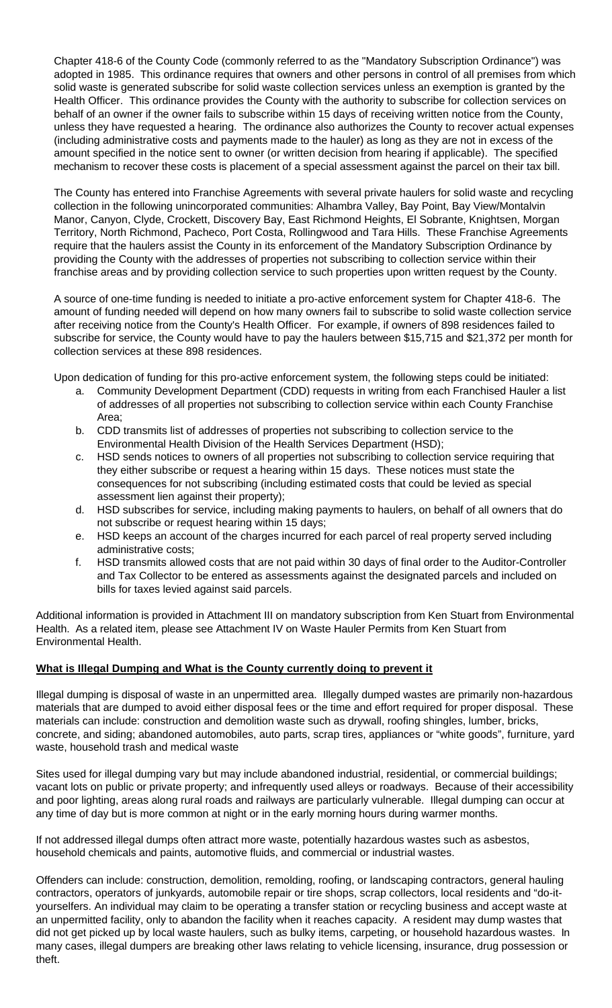Chapter 418-6 of the County Code (commonly referred to as the "Mandatory Subscription Ordinance") was adopted in 1985. This ordinance requires that owners and other persons in control of all premises from which solid waste is generated subscribe for solid waste collection services unless an exemption is granted by the Health Officer. This ordinance provides the County with the authority to subscribe for collection services on behalf of an owner if the owner fails to subscribe within 15 days of receiving written notice from the County, unless they have requested a hearing. The ordinance also authorizes the County to recover actual expenses (including administrative costs and payments made to the hauler) as long as they are not in excess of the amount specified in the notice sent to owner (or written decision from hearing if applicable). The specified mechanism to recover these costs is placement of a special assessment against the parcel on their tax bill.

The County has entered into Franchise Agreements with several private haulers for solid waste and recycling collection in the following unincorporated communities: Alhambra Valley, Bay Point, Bay View/Montalvin Manor, Canyon, Clyde, Crockett, Discovery Bay, East Richmond Heights, El Sobrante, Knightsen, Morgan Territory, North Richmond, Pacheco, Port Costa, Rollingwood and Tara Hills. These Franchise Agreements require that the haulers assist the County in its enforcement of the Mandatory Subscription Ordinance by providing the County with the addresses of properties not subscribing to collection service within their franchise areas and by providing collection service to such properties upon written request by the County.

A source of one-time funding is needed to initiate a pro-active enforcement system for Chapter 418-6. The amount of funding needed will depend on how many owners fail to subscribe to solid waste collection service after receiving notice from the County's Health Officer. For example, if owners of 898 residences failed to subscribe for service, the County would have to pay the haulers between \$15,715 and \$21,372 per month for collection services at these 898 residences.

Upon dedication of funding for this pro-active enforcement system, the following steps could be initiated:

- a. Community Development Department (CDD) requests in writing from each Franchised Hauler a list of addresses of all properties not subscribing to collection service within each County Franchise Area;
- b. CDD transmits list of addresses of properties not subscribing to collection service to the Environmental Health Division of the Health Services Department (HSD);
- c. HSD sends notices to owners of all properties not subscribing to collection service requiring that they either subscribe or request a hearing within 15 days. These notices must state the consequences for not subscribing (including estimated costs that could be levied as special assessment lien against their property);
- d. HSD subscribes for service, including making payments to haulers, on behalf of all owners that do not subscribe or request hearing within 15 days;
- e. HSD keeps an account of the charges incurred for each parcel of real property served including administrative costs;
- f. HSD transmits allowed costs that are not paid within 30 days of final order to the Auditor-Controller and Tax Collector to be entered as assessments against the designated parcels and included on bills for taxes levied against said parcels.

Additional information is provided in Attachment III on mandatory subscription from Ken Stuart from Environmental Health. As a related item, please see Attachment IV on Waste Hauler Permits from Ken Stuart from Environmental Health.

# **What is Illegal Dumping and What is the County currently doing to prevent it**

Illegal dumping is disposal of waste in an unpermitted area. Illegally dumped wastes are primarily non-hazardous materials that are dumped to avoid either disposal fees or the time and effort required for proper disposal. These materials can include: construction and demolition waste such as drywall, roofing shingles, lumber, bricks, concrete, and siding; abandoned automobiles, auto parts, scrap tires, appliances or "white goods", furniture, yard waste, household trash and medical waste

Sites used for illegal dumping vary but may include abandoned industrial, residential, or commercial buildings; vacant lots on public or private property; and infrequently used alleys or roadways. Because of their accessibility and poor lighting, areas along rural roads and railways are particularly vulnerable. Illegal dumping can occur at any time of day but is more common at night or in the early morning hours during warmer months.

If not addressed illegal dumps often attract more waste, potentially hazardous wastes such as asbestos, household chemicals and paints, automotive fluids, and commercial or industrial wastes.

Offenders can include: construction, demolition, remolding, roofing, or landscaping contractors, general hauling contractors, operators of junkyards, automobile repair or tire shops, scrap collectors, local residents and "do-ityourselfers. An individual may claim to be operating a transfer station or recycling business and accept waste at an unpermitted facility, only to abandon the facility when it reaches capacity. A resident may dump wastes that did not get picked up by local waste haulers, such as bulky items, carpeting, or household hazardous wastes. In many cases, illegal dumpers are breaking other laws relating to vehicle licensing, insurance, drug possession or theft.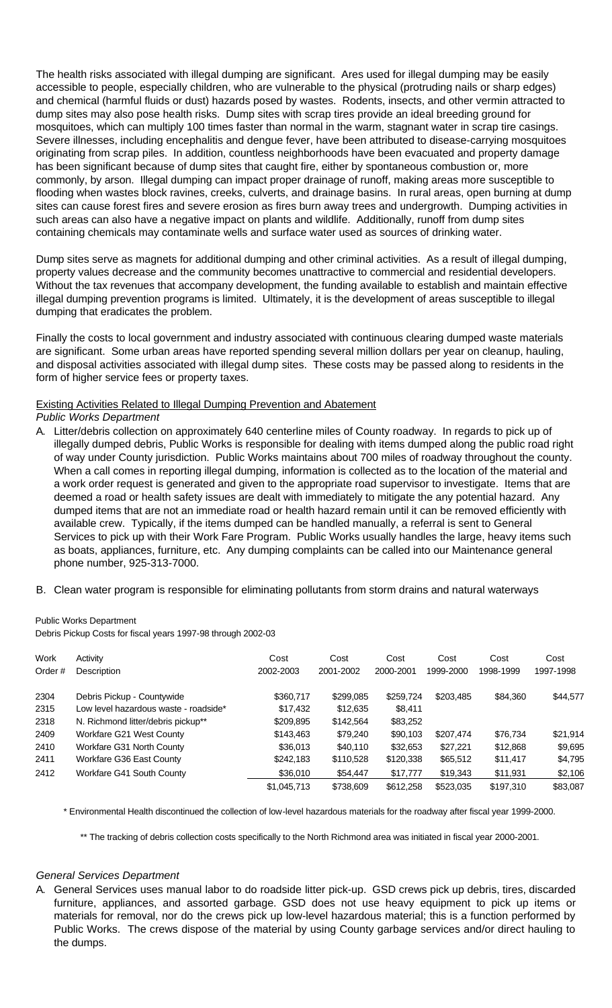The health risks associated with illegal dumping are significant. Ares used for illegal dumping may be easily accessible to people, especially children, who are vulnerable to the physical (protruding nails or sharp edges) and chemical (harmful fluids or dust) hazards posed by wastes. Rodents, insects, and other vermin attracted to dump sites may also pose health risks. Dump sites with scrap tires provide an ideal breeding ground for mosquitoes, which can multiply 100 times faster than normal in the warm, stagnant water in scrap tire casings. Severe illnesses, including encephalitis and dengue fever, have been attributed to disease-carrying mosquitoes originating from scrap piles. In addition, countless neighborhoods have been evacuated and property damage has been significant because of dump sites that caught fire, either by spontaneous combustion or, more commonly, by arson. Illegal dumping can impact proper drainage of runoff, making areas more susceptible to flooding when wastes block ravines, creeks, culverts, and drainage basins. In rural areas, open burning at dump sites can cause forest fires and severe erosion as fires burn away trees and undergrowth. Dumping activities in such areas can also have a negative impact on plants and wildlife. Additionally, runoff from dump sites containing chemicals may contaminate wells and surface water used as sources of drinking water.

Dump sites serve as magnets for additional dumping and other criminal activities. As a result of illegal dumping, property values decrease and the community becomes unattractive to commercial and residential developers. Without the tax revenues that accompany development, the funding available to establish and maintain effective illegal dumping prevention programs is limited. Ultimately, it is the development of areas susceptible to illegal dumping that eradicates the problem.

Finally the costs to local government and industry associated with continuous clearing dumped waste materials are significant. Some urban areas have reported spending several million dollars per year on cleanup, hauling, and disposal activities associated with illegal dump sites. These costs may be passed along to residents in the form of higher service fees or property taxes.

# Existing Activities Related to Illegal Dumping Prevention and Abatement

*Public Works Department*

- A. Litter/debris collection on approximately 640 centerline miles of County roadway. In regards to pick up of illegally dumped debris, Public Works is responsible for dealing with items dumped along the public road right of way under County jurisdiction. Public Works maintains about 700 miles of roadway throughout the county. When a call comes in reporting illegal dumping, information is collected as to the location of the material and a work order request is generated and given to the appropriate road supervisor to investigate. Items that are deemed a road or health safety issues are dealt with immediately to mitigate the any potential hazard. Any dumped items that are not an immediate road or health hazard remain until it can be removed efficiently with available crew. Typically, if the items dumped can be handled manually, a referral is sent to General Services to pick up with their Work Fare Program. Public Works usually handles the large, heavy items such as boats, appliances, furniture, etc. Any dumping complaints can be called into our Maintenance general phone number, 925-313-7000.
- B. Clean water program is responsible for eliminating pollutants from storm drains and natural waterways

Public Works Department

Debris Pickup Costs for fiscal years 1997-98 through 2002-03

| Work   | Activity                              | Cost        | Cost      | Cost      | Cost      | Cost      | Cost      |
|--------|---------------------------------------|-------------|-----------|-----------|-----------|-----------|-----------|
| Order# | Description                           | 2002-2003   | 2001-2002 | 2000-2001 | 1999-2000 | 1998-1999 | 1997-1998 |
| 2304   | Debris Pickup - Countywide            | \$360,717   | \$299,085 | \$259.724 | \$203.485 | \$84,360  | \$44,577  |
| 2315   | Low level hazardous waste - roadside* | \$17,432    | \$12,635  | \$8,411   |           |           |           |
| 2318   | N. Richmond litter/debris pickup**    | \$209,895   | \$142,564 | \$83,252  |           |           |           |
| 2409   | Workfare G21 West County              | \$143,463   | \$79,240  | \$90,103  | \$207,474 | \$76,734  | \$21,914  |
| 2410   | Workfare G31 North County             | \$36,013    | \$40,110  | \$32,653  | \$27,221  | \$12,868  | \$9,695   |
| 2411   | Workfare G36 East County              | \$242,183   | \$110,528 | \$120,338 | \$65,512  | \$11,417  | \$4,795   |
| 2412   | Workfare G41 South County             | \$36,010    | \$54,447  | \$17,777  | \$19,343  | \$11,931  | \$2,106   |
|        |                                       | \$1,045,713 | \$738,609 | \$612,258 | \$523,035 | \$197,310 | \$83,087  |

\* Environmental Health discontinued the collection of low-level hazardous materials for the roadway after fiscal year 1999-2000.

\*\* The tracking of debris collection costs specifically to the North Richmond area was initiated in fiscal year 2000-2001.

#### *General Services Department*

A. General Services uses manual labor to do roadside litter pick-up. GSD crews pick up debris, tires, discarded furniture, appliances, and assorted garbage. GSD does not use heavy equipment to pick up items or materials for removal, nor do the crews pick up low-level hazardous material; this is a function performed by Public Works. The crews dispose of the material by using County garbage services and/or direct hauling to the dumps.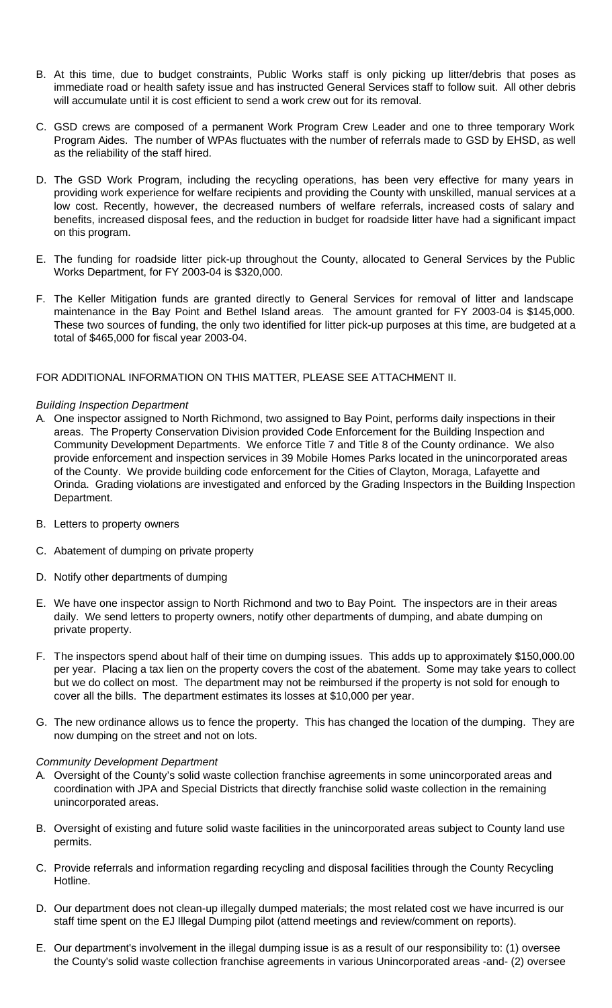- B. At this time, due to budget constraints, Public Works staff is only picking up litter/debris that poses as immediate road or health safety issue and has instructed General Services staff to follow suit. All other debris will accumulate until it is cost efficient to send a work crew out for its removal.
- C. GSD crews are composed of a permanent Work Program Crew Leader and one to three temporary Work Program Aides. The number of WPAs fluctuates with the number of referrals made to GSD by EHSD, as well as the reliability of the staff hired.
- D. The GSD Work Program, including the recycling operations, has been very effective for many years in providing work experience for welfare recipients and providing the County with unskilled, manual services at a low cost. Recently, however, the decreased numbers of welfare referrals, increased costs of salary and benefits, increased disposal fees, and the reduction in budget for roadside litter have had a significant impact on this program.
- E. The funding for roadside litter pick-up throughout the County, allocated to General Services by the Public Works Department, for FY 2003-04 is \$320,000.
- F. The Keller Mitigation funds are granted directly to General Services for removal of litter and landscape maintenance in the Bay Point and Bethel Island areas. The amount granted for FY 2003-04 is \$145,000. These two sources of funding, the only two identified for litter pick-up purposes at this time, are budgeted at a total of \$465,000 for fiscal year 2003-04.

## FOR ADDITIONAL INFORMATION ON THIS MATTER, PLEASE SEE ATTACHMENT II.

## *Building Inspection Department*

- A. One inspector assigned to North Richmond, two assigned to Bay Point, performs daily inspections in their areas. The Property Conservation Division provided Code Enforcement for the Building Inspection and Community Development Departments. We enforce Title 7 and Title 8 of the County ordinance. We also provide enforcement and inspection services in 39 Mobile Homes Parks located in the unincorporated areas of the County. We provide building code enforcement for the Cities of Clayton, Moraga, Lafayette and Orinda. Grading violations are investigated and enforced by the Grading Inspectors in the Building Inspection Department.
- B. Letters to property owners
- C. Abatement of dumping on private property
- D. Notify other departments of dumping
- E. We have one inspector assign to North Richmond and two to Bay Point. The inspectors are in their areas daily. We send letters to property owners, notify other departments of dumping, and abate dumping on private property.
- F. The inspectors spend about half of their time on dumping issues. This adds up to approximately \$150,000.00 per year. Placing a tax lien on the property covers the cost of the abatement. Some may take years to collect but we do collect on most. The department may not be reimbursed if the property is not sold for enough to cover all the bills. The department estimates its losses at \$10,000 per year.
- G. The new ordinance allows us to fence the property. This has changed the location of the dumping. They are now dumping on the street and not on lots.

#### *Community Development Department*

- A. Oversight of the County's solid waste collection franchise agreements in some unincorporated areas and coordination with JPA and Special Districts that directly franchise solid waste collection in the remaining unincorporated areas.
- B. Oversight of existing and future solid waste facilities in the unincorporated areas subject to County land use permits.
- C. Provide referrals and information regarding recycling and disposal facilities through the County Recycling Hotline.
- D. Our department does not clean-up illegally dumped materials; the most related cost we have incurred is our staff time spent on the EJ Illegal Dumping pilot (attend meetings and review/comment on reports).
- E. Our department's involvement in the illegal dumping issue is as a result of our responsibility to: (1) oversee the County's solid waste collection franchise agreements in various Unincorporated areas -and- (2) oversee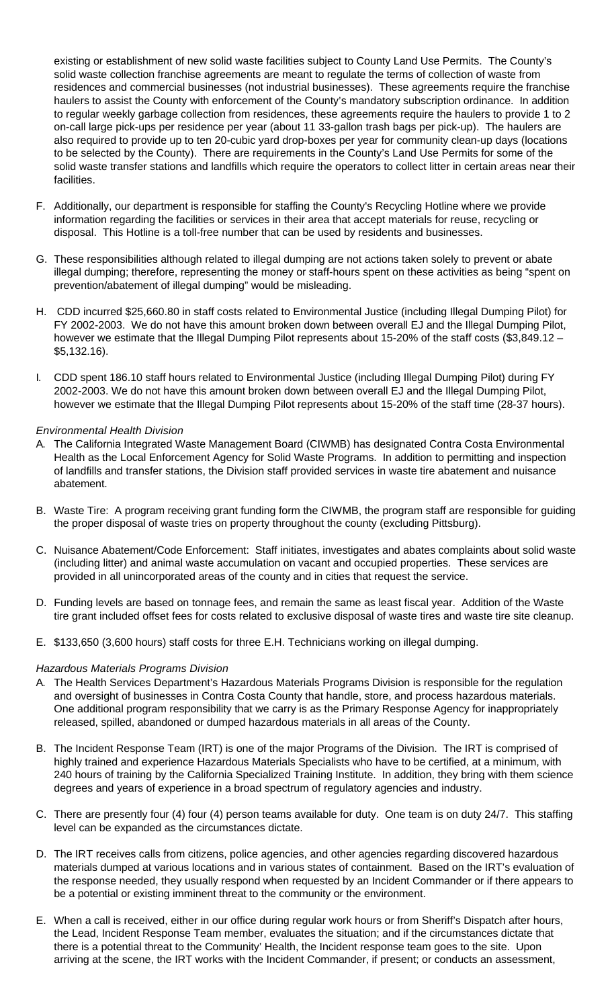existing or establishment of new solid waste facilities subject to County Land Use Permits. The County's solid waste collection franchise agreements are meant to regulate the terms of collection of waste from residences and commercial businesses (not industrial businesses). These agreements require the franchise haulers to assist the County with enforcement of the County's mandatory subscription ordinance. In addition to regular weekly garbage collection from residences, these agreements require the haulers to provide 1 to 2 on-call large pick-ups per residence per year (about 11 33-gallon trash bags per pick-up). The haulers are also required to provide up to ten 20-cubic yard drop-boxes per year for community clean-up days (locations to be selected by the County). There are requirements in the County's Land Use Permits for some of the solid waste transfer stations and landfills which require the operators to collect litter in certain areas near their facilities.

- F. Additionally, our department is responsible for staffing the County's Recycling Hotline where we provide information regarding the facilities or services in their area that accept materials for reuse, recycling or disposal. This Hotline is a toll-free number that can be used by residents and businesses.
- G. These responsibilities although related to illegal dumping are not actions taken solely to prevent or abate illegal dumping; therefore, representing the money or staff-hours spent on these activities as being "spent on prevention/abatement of illegal dumping" would be misleading.
- H. CDD incurred \$25,660.80 in staff costs related to Environmental Justice (including Illegal Dumping Pilot) for FY 2002-2003. We do not have this amount broken down between overall EJ and the Illegal Dumping Pilot, however we estimate that the Illegal Dumping Pilot represents about 15-20% of the staff costs (\$3,849.12 – \$5,132.16).
- I. CDD spent 186.10 staff hours related to Environmental Justice (including Illegal Dumping Pilot) during FY 2002-2003. We do not have this amount broken down between overall EJ and the Illegal Dumping Pilot, however we estimate that the Illegal Dumping Pilot represents about 15-20% of the staff time (28-37 hours).

# *Environmental Health Division*

- A. The California Integrated Waste Management Board (CIWMB) has designated Contra Costa Environmental Health as the Local Enforcement Agency for Solid Waste Programs. In addition to permitting and inspection of landfills and transfer stations, the Division staff provided services in waste tire abatement and nuisance abatement.
- B. Waste Tire: A program receiving grant funding form the CIWMB, the program staff are responsible for guiding the proper disposal of waste tries on property throughout the county (excluding Pittsburg).
- C. Nuisance Abatement/Code Enforcement: Staff initiates, investigates and abates complaints about solid waste (including litter) and animal waste accumulation on vacant and occupied properties. These services are provided in all unincorporated areas of the county and in cities that request the service.
- D. Funding levels are based on tonnage fees, and remain the same as least fiscal year. Addition of the Waste tire grant included offset fees for costs related to exclusive disposal of waste tires and waste tire site cleanup.
- E. \$133,650 (3,600 hours) staff costs for three E.H. Technicians working on illegal dumping.

#### *Hazardous Materials Programs Division*

- A. The Health Services Department's Hazardous Materials Programs Division is responsible for the regulation and oversight of businesses in Contra Costa County that handle, store, and process hazardous materials. One additional program responsibility that we carry is as the Primary Response Agency for inappropriately released, spilled, abandoned or dumped hazardous materials in all areas of the County.
- B. The Incident Response Team (IRT) is one of the major Programs of the Division. The IRT is comprised of highly trained and experience Hazardous Materials Specialists who have to be certified, at a minimum, with 240 hours of training by the California Specialized Training Institute. In addition, they bring with them science degrees and years of experience in a broad spectrum of regulatory agencies and industry.
- C. There are presently four (4) four (4) person teams available for duty. One team is on duty 24/7. This staffing level can be expanded as the circumstances dictate.
- D. The IRT receives calls from citizens, police agencies, and other agencies regarding discovered hazardous materials dumped at various locations and in various states of containment. Based on the IRT's evaluation of the response needed, they usually respond when requested by an Incident Commander or if there appears to be a potential or existing imminent threat to the community or the environment.
- E. When a call is received, either in our office during regular work hours or from Sheriff's Dispatch after hours, the Lead, Incident Response Team member, evaluates the situation; and if the circumstances dictate that there is a potential threat to the Community' Health, the Incident response team goes to the site. Upon arriving at the scene, the IRT works with the Incident Commander, if present; or conducts an assessment,